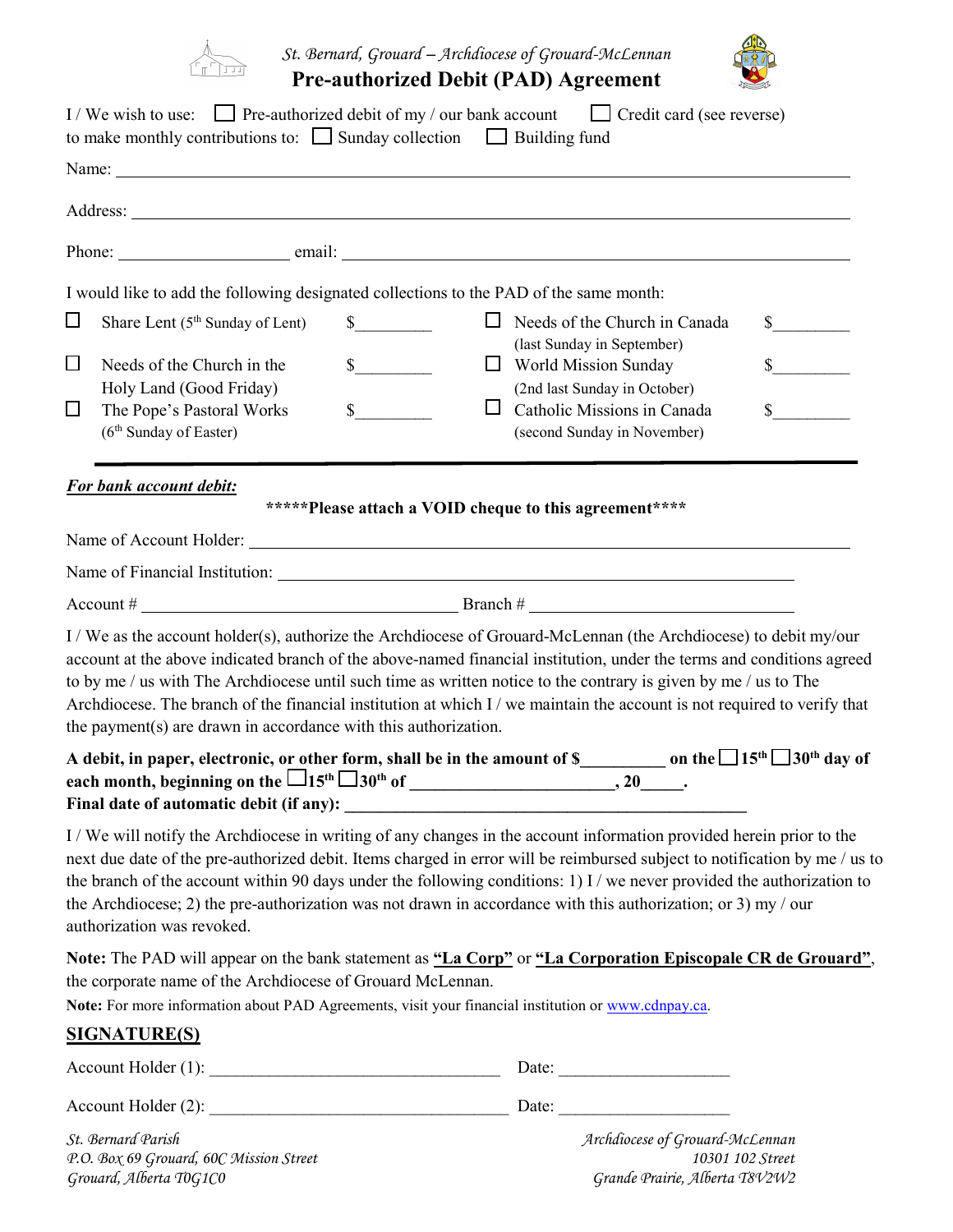

*St. Bernard, Grouard – Archdiocese of Grouard-McLennan* **Pre-authorized Debit (PAD) Agreement** 



|                  | I/We wish to use: Pre-authorized debit of my / our bank account $\Box$ Credit card (see reverse)<br>to make monthly contributions to: $\Box$ Sunday collection $\Box$ Building fund                                                                                                                                                                                                                                                                                                                                                                             |                                                        |                                                                    |                             |
|------------------|-----------------------------------------------------------------------------------------------------------------------------------------------------------------------------------------------------------------------------------------------------------------------------------------------------------------------------------------------------------------------------------------------------------------------------------------------------------------------------------------------------------------------------------------------------------------|--------------------------------------------------------|--------------------------------------------------------------------|-----------------------------|
|                  |                                                                                                                                                                                                                                                                                                                                                                                                                                                                                                                                                                 |                                                        |                                                                    |                             |
|                  |                                                                                                                                                                                                                                                                                                                                                                                                                                                                                                                                                                 |                                                        |                                                                    |                             |
|                  |                                                                                                                                                                                                                                                                                                                                                                                                                                                                                                                                                                 |                                                        |                                                                    |                             |
|                  | I would like to add the following designated collections to the PAD of the same month:                                                                                                                                                                                                                                                                                                                                                                                                                                                                          |                                                        |                                                                    |                             |
| $\Box$           | Share Lent (5 <sup>th</sup> Sunday of Lent)                                                                                                                                                                                                                                                                                                                                                                                                                                                                                                                     | $\frac{\text{S}}{\text{S}}$                            | $\Box$ Needs of the Church in Canada<br>(last Sunday in September) | $\frac{\text{S}}{\text{S}}$ |
| $\Box$<br>$\Box$ | Needs of the Church in the<br>Holy Land (Good Friday)                                                                                                                                                                                                                                                                                                                                                                                                                                                                                                           | $\sim$<br>Ц                                            | $\Box$ World Mission Sunday<br>(2nd last Sunday in October)        | $\sim$                      |
|                  | The Pope's Pastoral Works<br>(6 <sup>th</sup> Sunday of Easter)                                                                                                                                                                                                                                                                                                                                                                                                                                                                                                 | $s$ <sub>______</sub>                                  | Catholic Missions in Canada<br>(second Sunday in November)         | $\mathbb{S}$                |
|                  | For bank account debit:                                                                                                                                                                                                                                                                                                                                                                                                                                                                                                                                         | *****Please attach a VOID cheque to this agreement**** |                                                                    |                             |
|                  |                                                                                                                                                                                                                                                                                                                                                                                                                                                                                                                                                                 |                                                        |                                                                    |                             |
|                  |                                                                                                                                                                                                                                                                                                                                                                                                                                                                                                                                                                 |                                                        |                                                                    |                             |
|                  | I / We as the account holder(s), authorize the Archdiocese of Grouard-McLennan (the Archdiocese) to debit my/our<br>account at the above indicated branch of the above-named financial institution, under the terms and conditions agreed<br>to by me / us with The Archdiocese until such time as written notice to the contrary is given by me / us to The<br>Archdiocese. The branch of the financial institution at which I / we maintain the account is not required to verify that<br>the payment( $s$ ) are drawn in accordance with this authorization. |                                                        |                                                                    |                             |
|                  | A debit, in paper, electronic, o <u>r o</u> ther form, shall be in the amount of \$____________ on the $\Box$ 15 <sup>th</sup> $\Box$ 30 <sup>th</sup> day of                                                                                                                                                                                                                                                                                                                                                                                                   |                                                        |                                                                    |                             |
|                  | I/We will notify the Archdiocese in writing of any changes in the account information provided herein prior to the<br>next due date of the pre-authorized debit. Items charged in error will be reimbursed subject to notification by me / us to<br>the branch of the account within 90 days under the following conditions: 1) I / we never provided the authorization to<br>the Archdiocese; 2) the pre-authorization was not drawn in accordance with this authorization; or 3) my / our<br>authorization was revoked.                                       |                                                        |                                                                    |                             |
|                  | Note: The PAD will appear on the bank statement as "La Corp" or "La Corporation Episcopale CR de Grouard",<br>the corporate name of the Archdiocese of Grouard McLennan.<br>Note: For more information about PAD Agreements, visit your financial institution or www.cdnpay.ca.                                                                                                                                                                                                                                                                                 |                                                        |                                                                    |                             |
|                  | <b>SIGNATURE(S)</b>                                                                                                                                                                                                                                                                                                                                                                                                                                                                                                                                             |                                                        |                                                                    |                             |
|                  |                                                                                                                                                                                                                                                                                                                                                                                                                                                                                                                                                                 |                                                        |                                                                    |                             |
|                  |                                                                                                                                                                                                                                                                                                                                                                                                                                                                                                                                                                 |                                                        |                                                                    |                             |
|                  | St. Bernard Parish                                                                                                                                                                                                                                                                                                                                                                                                                                                                                                                                              |                                                        | Archdiocese of Grouard-McLennan                                    |                             |

*P.O. Box 69 Grouard, 60C Mission Street 10301 102 Street*

*Grouard, Alberta T0G1C0 Grande Prairie, Alberta T8V2W2*